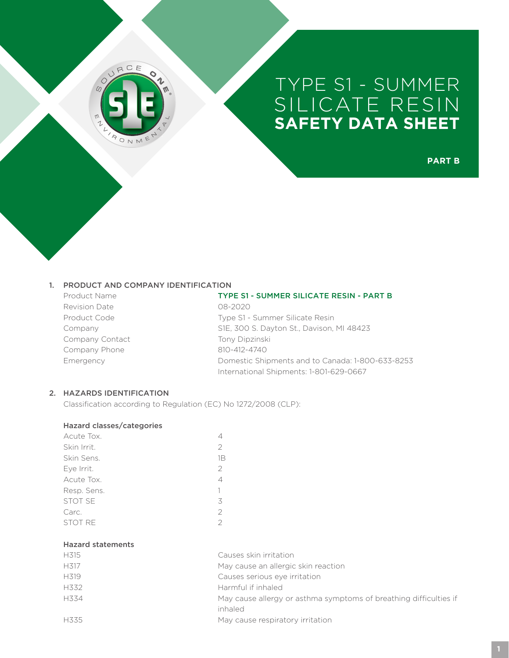

**PART B**

#### 1. PRODUCT AND COMPANY IDENTIFICATION

Revision Date **08-2020** Company Contact Tony Dipzinski Company Phone 810-412-4740

#### Product Name TYPE S1 - SUMMER SILICATE RESIN - PART B

Product Code Type S1 - Summer Silicate Resin Company S1E, 300 S. Dayton St., Davison, MI 48423 Emergency Domestic Shipments and to Canada: 1-800-633-8253 International Shipments: 1-801-629-0667

# 2. HAZARDS IDENTIFICATION

Classification according to Regulation (EC) No 1272/2008 (CLP):

# Hazard classes/categories

| Acute Tox.     |                |
|----------------|----------------|
| Skin Irrit.    | 2              |
| Skin Sens.     | 1Β             |
| Eye Irrit.     | $\mathfrak{D}$ |
| Acute Tox.     | $\overline{4}$ |
| Resp. Sens.    | 1              |
| <b>STOT SE</b> | 3              |
| Carc.          | $\overline{2}$ |
| <b>STOT RE</b> | $\mathcal{P}$  |
|                |                |

## Hazard statements

| H315              | Causes skin irritation                                            |
|-------------------|-------------------------------------------------------------------|
| H317              | May cause an allergic skin reaction                               |
| H <sub>3</sub> 19 | Causes serious eye irritation                                     |
| H332              | Harmful if inhaled                                                |
| H334              | May cause allergy or asthma symptoms of breathing difficulties if |
|                   | inhaled                                                           |
| H335              | May cause respiratory irritation                                  |
|                   |                                                                   |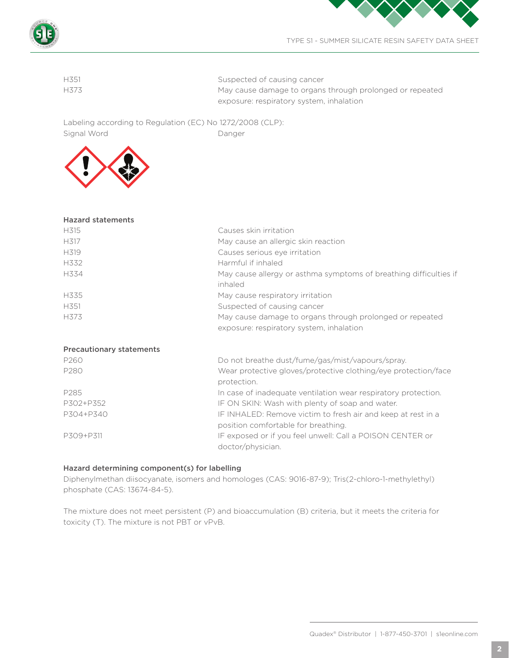

| H351 | Suspected of causing cancer                              |
|------|----------------------------------------------------------|
| H373 | May cause damage to organs through prolonged or repeated |
|      | exposure: respiratory system, inhalation                 |
|      |                                                          |

Labeling according to Regulation (EC) No 1272/2008 (CLP): Signal Word Danger



Hazard statements

| Hazard statements               |                                                                                                     |
|---------------------------------|-----------------------------------------------------------------------------------------------------|
| H315                            | Causes skin irritation                                                                              |
| H317                            | May cause an allergic skin reaction                                                                 |
| H <sub>3</sub> 19               | Causes serious eye irritation                                                                       |
| H332                            | Harmful if inhaled                                                                                  |
| H334                            | May cause allergy or asthma symptoms of breathing difficulties if                                   |
|                                 | inhaled                                                                                             |
| H335                            | May cause respiratory irritation                                                                    |
| H <sub>351</sub>                | Suspected of causing cancer                                                                         |
| H373                            | May cause damage to organs through prolonged or repeated                                            |
|                                 | exposure: respiratory system, inhalation                                                            |
| <b>Precautionary statements</b> |                                                                                                     |
| P260                            | Do not breathe dust/fume/gas/mist/vapours/spray.                                                    |
| P280                            | Wear protective gloves/protective clothing/eye protection/face                                      |
|                                 | protection.                                                                                         |
| P285                            | In case of inadequate ventilation wear respiratory protection.                                      |
| P302+P352                       | IF ON SKIN: Wash with plenty of soap and water.                                                     |
| P304+P340                       | IF INHALED: Remove victim to fresh air and keep at rest in a<br>position comfortable for breathing. |
| P309+P311                       | IF exposed or if you feel unwell: Call a POISON CENTER or<br>doctor/physician.                      |
|                                 |                                                                                                     |

# Hazard determining component(s) for labelling

Diphenylmethan diisocyanate, isomers and homologes (CAS: 9016-87-9); Tris(2-chloro-1-methylethyl) phosphate (CAS: 13674-84-5).

The mixture does not meet persistent (P) and bioaccumulation (B) criteria, but it meets the criteria for toxicity (T). The mixture is not PBT or vPvB.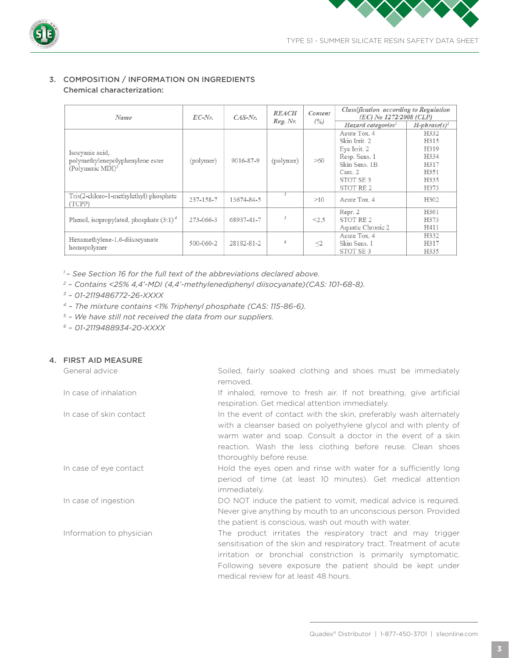



# 3. COMPOSITION / INFORMATION ON INGREDIENTS Chemical characterization:

| Name                                                             | $EC-Nr$ .       | $CAS-Nr$ .             |           | <b>REACH</b> | Content                        | Classification according to Regulation<br>(EC) No 1272/2008 (CLP) |  |
|------------------------------------------------------------------|-----------------|------------------------|-----------|--------------|--------------------------------|-------------------------------------------------------------------|--|
|                                                                  |                 |                        | Reg. Nr.  | (%)          | Hazard categories <sup>1</sup> | $H$ -phrase(s) <sup>1</sup>                                       |  |
|                                                                  |                 |                        |           |              | Acute Tox. 4<br>Skin Irrit. 2  | H332<br>H315                                                      |  |
| Isocyanic acid,                                                  |                 | 9016-87-9<br>(polymer) | (polymer) | >60          | Eye Irrit. 2                   | H319                                                              |  |
|                                                                  |                 |                        |           |              | Resp. Sens. 1                  | H334                                                              |  |
| polymethylenepolyphenylene ester<br>(Polymeric MDI) <sup>2</sup> |                 |                        |           |              | Skin Sens. 1B                  | H317                                                              |  |
|                                                                  |                 |                        |           |              | Carc. 2                        | H351                                                              |  |
|                                                                  |                 |                        |           |              | STOT SE <sub>3</sub>           | H335                                                              |  |
|                                                                  |                 |                        |           |              | STOT RE 2                      | H373                                                              |  |
| Tris(2-chloro-1-methylethyl) phosphate<br>(TCPP)                 | 237-158-7       | 13674-84-5             | 3         | >10          | Acute Tox. 4                   | H302                                                              |  |
|                                                                  |                 |                        |           |              | Repr. 2                        | H361                                                              |  |
| Phenol, isopropylated, phosphate $(3:1)^4$                       | 273-066-3       | 68937-41-7             | 5         | < 2.5        | STOT RE <sub>2</sub>           | H373                                                              |  |
|                                                                  |                 |                        |           |              | Aquatic Chronic 2              | H411                                                              |  |
| Hexamethylene-1,6-diisocyanate                                   | $500 - 060 - 2$ | 28182-81-2             | б         | $\leq$       | Acute Tox. 4                   | H332                                                              |  |
| homopolymer                                                      |                 |                        |           |              | Skin Sens. 1                   | H317                                                              |  |
|                                                                  |                 |                        |           |              | STOT SE3                       | H335                                                              |  |

*1 – See Section 16 for the full text of the abbreviations declared above.*

*2 – Contains <25% 4,4'-MDI (4,4'-methylenediphenyl diisocyanate)(CAS: 101-68-8).*

- *3 01-2119486772-26-XXXX*
- *4 The mixture contains <1% Triphenyl phosphate (CAS: 115-86-6).*
- *5 We have still not received the data from our suppliers.*
- *6 01-2119488934-20-XXXX*

| 4. FIRST AID MEASURE     |                                                                                                                                                                                                                                                                                                             |
|--------------------------|-------------------------------------------------------------------------------------------------------------------------------------------------------------------------------------------------------------------------------------------------------------------------------------------------------------|
| General advice           | Soiled, fairly soaked clothing and shoes must be immediately<br>removed.                                                                                                                                                                                                                                    |
| In case of inhalation    | If inhaled, remove to fresh air. If not breathing, give artificial<br>respiration. Get medical attention immediately.                                                                                                                                                                                       |
| In case of skin contact  | In the event of contact with the skin, preferably wash alternately<br>with a cleanser based on polyethylene glycol and with plenty of<br>warm water and soap. Consult a doctor in the event of a skin<br>reaction. Wash the less clothing before reuse. Clean shoes<br>thoroughly before reuse.             |
| In case of eye contact   | Hold the eyes open and rinse with water for a sufficiently long<br>period of time (at least 10 minutes). Get medical attention<br>immediately.                                                                                                                                                              |
| In case of ingestion     | DO NOT induce the patient to vomit, medical advice is required.<br>Never give anything by mouth to an unconscious person. Provided<br>the patient is conscious, wash out mouth with water.                                                                                                                  |
| Information to physician | The product irritates the respiratory tract and may trigger<br>sensitisation of the skin and respiratory tract. Treatment of acute<br>irritation or bronchial constriction is primarily symptomatic.<br>Following severe exposure the patient should be kept under<br>medical review for at least 48 hours. |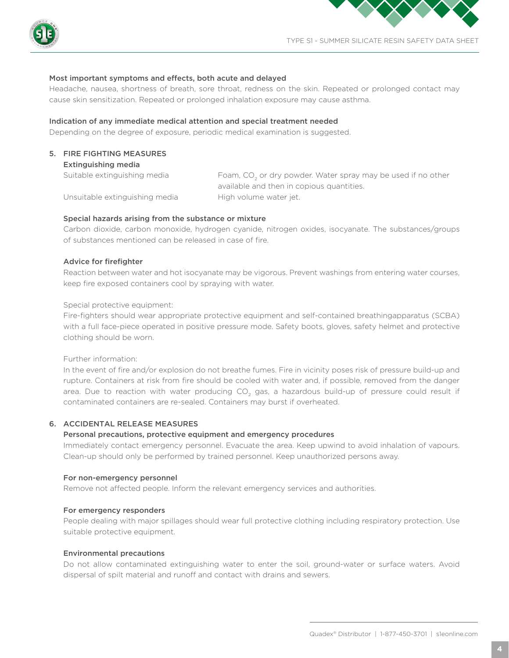



#### Most important symptoms and effects, both acute and delayed

Headache, nausea, shortness of breath, sore throat, redness on the skin. Repeated or prolonged contact may cause skin sensitization. Repeated or prolonged inhalation exposure may cause asthma.

#### Indication of any immediate medical attention and special treatment needed

Depending on the degree of exposure, periodic medical examination is suggested.

# 5. FIRE FIGHTING MEASURES

Extinguishing media

Suitable extinguishing media  $F$ oam,  $CO<sub>2</sub>$  or dry powder. Water spray may be used if no other available and then in copious quantities. Unsuitable extinguishing media High volume water jet.

#### Special hazards arising from the substance or mixture

Carbon dioxide, carbon monoxide, hydrogen cyanide, nitrogen oxides, isocyanate. The substances/groups of substances mentioned can be released in case of fire.

#### Advice for firefighter

Reaction between water and hot isocyanate may be vigorous. Prevent washings from entering water courses, keep fire exposed containers cool by spraying with water.

Special protective equipment:

Fire-fighters should wear appropriate protective equipment and self-contained breathingapparatus (SCBA) with a full face-piece operated in positive pressure mode. Safety boots, gloves, safety helmet and protective clothing should be worn.

Further information:

In the event of fire and/or explosion do not breathe fumes. Fire in vicinity poses risk of pressure build-up and rupture. Containers at risk from fire should be cooled with water and, if possible, removed from the danger area. Due to reaction with water producing CO<sub>2</sub> gas, a hazardous build-up of pressure could result if contaminated containers are re-sealed. Containers may burst if overheated.

# 6. ACCIDENTAL RELEASE MEASURES

#### Personal precautions, protective equipment and emergency procedures

Immediately contact emergency personnel. Evacuate the area. Keep upwind to avoid inhalation of vapours. Clean-up should only be performed by trained personnel. Keep unauthorized persons away.

#### For non-emergency personnel

Remove not affected people. Inform the relevant emergency services and authorities.

#### For emergency responders

People dealing with major spillages should wear full protective clothing including respiratory protection. Use suitable protective equipment.

# Environmental precautions

Do not allow contaminated extinguishing water to enter the soil, ground-water or surface waters. Avoid dispersal of spilt material and runoff and contact with drains and sewers.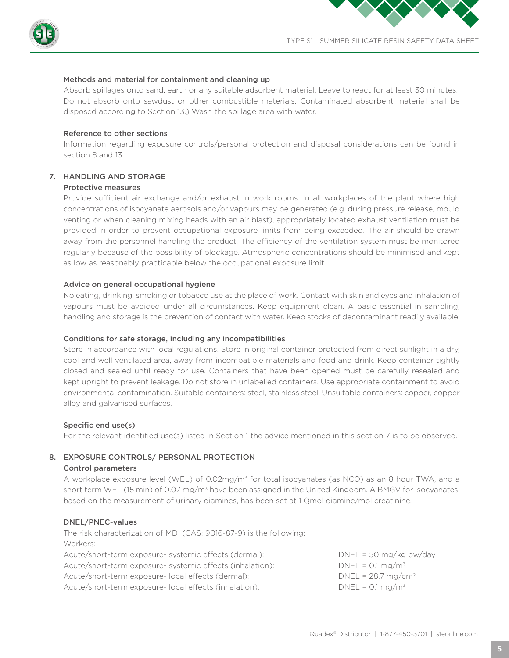



#### Methods and material for containment and cleaning up

Absorb spillages onto sand, earth or any suitable adsorbent material. Leave to react for at least 30 minutes. Do not absorb onto sawdust or other combustible materials. Contaminated absorbent material shall be disposed according to Section 13.) Wash the spillage area with water.

#### Reference to other sections

Information regarding exposure controls/personal protection and disposal considerations can be found in section 8 and 13.

# 7. HANDLING AND STORAGE

# Protective measures

Provide sufficient air exchange and/or exhaust in work rooms. In all workplaces of the plant where high concentrations of isocyanate aerosols and/or vapours may be generated (e.g. during pressure release, mould venting or when cleaning mixing heads with an air blast), appropriately located exhaust ventilation must be provided in order to prevent occupational exposure limits from being exceeded. The air should be drawn away from the personnel handling the product. The efficiency of the ventilation system must be monitored regularly because of the possibility of blockage. Atmospheric concentrations should be minimised and kept as low as reasonably practicable below the occupational exposure limit.

#### Advice on general occupational hygiene

No eating, drinking, smoking or tobacco use at the place of work. Contact with skin and eyes and inhalation of vapours must be avoided under all circumstances. Keep equipment clean. A basic essential in sampling, handling and storage is the prevention of contact with water. Keep stocks of decontaminant readily available.

#### Conditions for safe storage, including any incompatibilities

Store in accordance with local regulations. Store in original container protected from direct sunlight in a dry, cool and well ventilated area, away from incompatible materials and food and drink. Keep container tightly closed and sealed until ready for use. Containers that have been opened must be carefully resealed and kept upright to prevent leakage. Do not store in unlabelled containers. Use appropriate containment to avoid environmental contamination. Suitable containers: steel, stainless steel. Unsuitable containers: copper, copper alloy and galvanised surfaces.

#### Specific end use(s)

For the relevant identified use(s) listed in Section 1 the advice mentioned in this section 7 is to be observed.

# 8. EXPOSURE CONTROLS/ PERSONAL PROTECTION

#### Control parameters

A workplace exposure level (WEL) of 0.02mg/m3 for total isocyanates (as NCO) as an 8 hour TWA, and a short term WEL (15 min) of 0.07 mg/m<sup>3</sup> have been assigned in the United Kingdom. A BMGV for isocyanates, based on the measurement of urinary diamines, has been set at 1 Qmol diamine/mol creatinine.

#### DNEL/PNEC-values

The risk characterization of MDI (CAS: 9016-87-9) is the following: Workers: Acute/short-term exposure- systemic effects (dermal): DNEL = 50 mg/kg bw/day Acute/short-term exposure- systemic effects (inhalation): DNEL = 0.1 mg/m<sup>3</sup> Acute/short-term exposure- local effects (dermal): DNEL = 28.7 mg/cm<sup>2</sup> Acute/short-term exposure- local effects (inhalation): DNEL = 0.1 mg/m<sup>3</sup>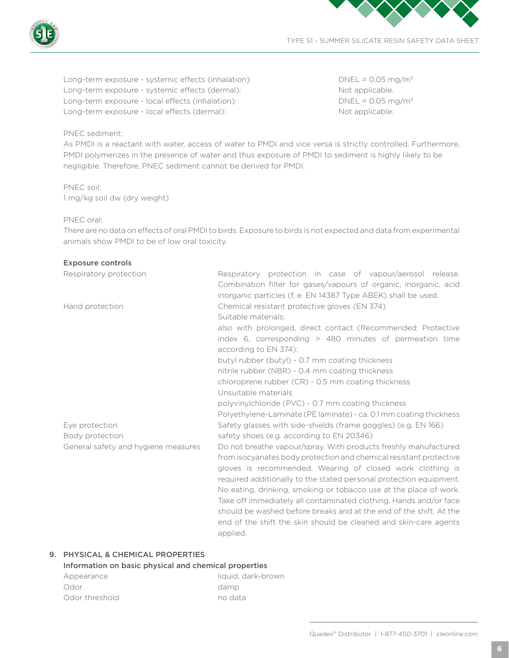

Long-term exposure - systemic effects (inhalation): DNEL = 0.05 mg/m<sup>3</sup> Long-term exposure - systemic effects (dermal): Not applicable. Long-term exposure - local effects (inhalation): DNEL = 0.05 mg/m<sup>3</sup> Long-term exposure - local effects (dermal): Not applicable.

# PNEC sediment:

As PMDI is a reactant with water, access of water to PMDI and vice versa is strictly controlled. Furthermore, PMDI polymerizes in the presence of water and thus exposure of PMDI to sediment is highly likely to be negligible. Therefore, PNEC sediment cannot be derived for PMDI.

PNEC soil: 1 mg/kg soil dw (dry weight)

# PNEC oral:

There are no data on effects of oral PMDI to birds. Exposure to birds is not expected and data from experimental animals show PMDI to be of low oral toxicity.

# Exposure controls

| Respiratory protection              | Respiratory protection in case of vapour/aerosol release.<br>Combination filter for gases/vapours of organic, inorganic, acid<br>inorganic particles (f. e. EN 14387 Type ABEK) shall be used.                                                                                                                                                                                                                                                                                                                                                                           |
|-------------------------------------|--------------------------------------------------------------------------------------------------------------------------------------------------------------------------------------------------------------------------------------------------------------------------------------------------------------------------------------------------------------------------------------------------------------------------------------------------------------------------------------------------------------------------------------------------------------------------|
| Hand protection                     | Chemical resistant protective gloves (EN 374).<br>Suitable materials:                                                                                                                                                                                                                                                                                                                                                                                                                                                                                                    |
|                                     | also with prolonged, direct contact (Recommended: Protective<br>index 6, corresponding $>$ 480 minutes of permeation time<br>according to EN 374):                                                                                                                                                                                                                                                                                                                                                                                                                       |
|                                     | butyl rubber (butyl) - 0.7 mm coating thickness<br>nitrile rubber (NBR) - 0.4 mm coating thickness                                                                                                                                                                                                                                                                                                                                                                                                                                                                       |
|                                     | chloroprene rubber (CR) - 0.5 mm coating thickness<br>Unsuitable materials                                                                                                                                                                                                                                                                                                                                                                                                                                                                                               |
|                                     | polyvinylchloride (PVC) - 0.7 mm coating thickness                                                                                                                                                                                                                                                                                                                                                                                                                                                                                                                       |
|                                     | Polyethylene-Laminate (PE laminate) - ca. 0.1 mm coating thickness                                                                                                                                                                                                                                                                                                                                                                                                                                                                                                       |
| Eye protection<br>Body protection   | Safety glasses with side-shields (frame goggles) (e.g. EN 166)<br>safety shoes (e.g. according to EN 20346)                                                                                                                                                                                                                                                                                                                                                                                                                                                              |
| General safety and hygiene measures | Do not breathe vapour/spray. With products freshly manufactured<br>from isocyanates body protection and chemical resistant protective<br>gloves is recommended. Wearing of closed work clothing is<br>required additionally to the stated personal protection equipment.<br>No eating, drinking, smoking or tobacco use at the place of work.<br>Take off immediately all contaminated clothing. Hands and/or face<br>should be washed before breaks and at the end of the shift. At the<br>end of the shift the skin should be cleaned and skin-care agents<br>applied. |

# 9. PHYSICAL & CHEMICAL PROPERTIES

## Information on basic physical and chemical properties

| Appearance     | liquid, dark-brown |
|----------------|--------------------|
| Odor           | damp               |
| Odor threshold | no data            |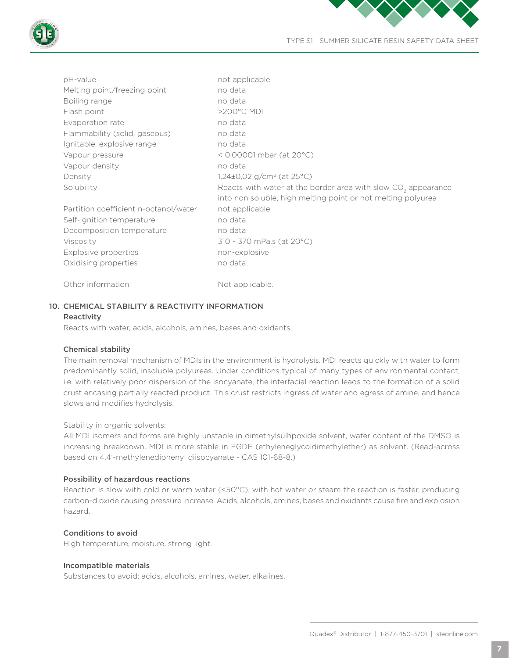

| pH-value                              | not applicable                                                            |
|---------------------------------------|---------------------------------------------------------------------------|
| Melting point/freezing point          | no data                                                                   |
| Boiling range                         | no data                                                                   |
| Flash point                           | >200°C MDI                                                                |
| Evaporation rate                      | no data                                                                   |
| Flammability (solid, gaseous)         | no data                                                                   |
| Ignitable, explosive range            | no data                                                                   |
| Vapour pressure                       | < 0.00001 mbar (at 20°C)                                                  |
| Vapour density                        | no data                                                                   |
| Density                               | 1,24 $\pm$ 0,02 g/cm <sup>3</sup> (at 25°C)                               |
| Solubility                            | Reacts with water at the border area with slow CO <sub>2</sub> appearance |
|                                       | into non soluble, high melting point or not melting polyurea              |
| Partition coefficient n-octanol/water | not applicable                                                            |
| Self-ignition temperature             | no data                                                                   |
| Decomposition temperature             | no data                                                                   |
| Viscosity                             | 310 - 370 mPa.s (at 20°C)                                                 |
| Explosive properties                  | non-explosive                                                             |
| Oxidising properties                  | no data                                                                   |
| Other information                     | Not applicable.                                                           |

# 10. CHEMICAL STABILITY & REACTIVITY INFORMATION

#### Reactivity

Reacts with water, acids, alcohols, amines, bases and oxidants.

# Chemical stability

The main removal mechanism of MDIs in the environment is hydrolysis. MDI reacts quickly with water to form predominantly solid, insoluble polyureas. Under conditions typical of many types of environmental contact, i.e. with relatively poor dispersion of the isocyanate, the interfacial reaction leads to the formation of a solid crust encasing partially reacted product. This crust restricts ingress of water and egress of amine, and hence slows and modifies hydrolysis.

# Stability in organic solvents:

All MDI isomers and forms are highly unstable in dimethylsulhpoxide solvent, water content of the DMSO is increasing breakdown. MDI is more stable in EGDE (ethyleneglycoldimethylether) as solvent. (Read-across based on 4,4'-methylenediphenyl diisocyanate - CAS 101-68-8.)

# Possibility of hazardous reactions

Reaction is slow with cold or warm water (<50°C), with hot water or steam the reaction is faster, producing carbon-dioxide causing pressure increase. Acids, alcohols, amines, bases and oxidants cause fire and explosion hazard.

# Conditions to avoid

High temperature, moisture, strong light.

# Incompatible materials

Substances to avoid: acids, alcohols, amines, water, alkalines.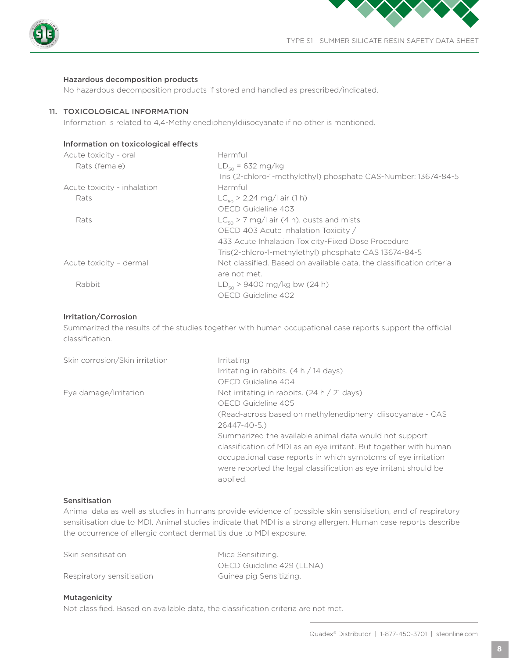



#### Hazardous decomposition products

No hazardous decomposition products if stored and handled as prescribed/indicated.

#### 11. TOXICOLOGICAL INFORMATION

Information is related to 4,4-Methylenediphenyldiisocyanate if no other is mentioned.

#### Information on toxicological effects

| Acute toxicity - oral       | Harmful                                                              |
|-----------------------------|----------------------------------------------------------------------|
| Rats (female)               | $LD_{50} = 632 \text{ mg/kg}$                                        |
|                             | Tris (2-chloro-1-methylethyl) phosphate CAS-Number: 13674-84-5       |
| Acute toxicity - inhalation | Harmful                                                              |
| Rats                        | $LC_{50}$ > 2,24 mg/l air (1 h)                                      |
|                             | OECD Guideline 403                                                   |
| Rats                        | $LC_{50}$ > 7 mg/l air (4 h), dusts and mists                        |
|                             | OECD 403 Acute Inhalation Toxicity /                                 |
|                             | 433 Acute Inhalation Toxicity-Fixed Dose Procedure                   |
|                             | Tris(2-chloro-1-methylethyl) phosphate CAS 13674-84-5                |
| Acute toxicity - dermal     | Not classified. Based on available data, the classification criteria |
|                             | are not met.                                                         |
| Rabbit                      | $LD_{50}$ > 9400 mg/kg bw (24 h)                                     |
|                             | OECD Guideline 402                                                   |

# Irritation/Corrosion

Summarized the results of the studies together with human occupational case reports support the official classification.

| Skin corrosion/Skin irritation | Irritating                                                        |
|--------------------------------|-------------------------------------------------------------------|
|                                | Irritating in rabbits. $(4 h / 14 days)$                          |
|                                | OECD Guideline 404                                                |
| Eye damage/Irritation          | Not irritating in rabbits. $(24 h / 21 days)$                     |
|                                | OECD Guideline 405                                                |
|                                | (Read-across based on methylenediphenyl diisocyanate - CAS        |
|                                | $26447 - 40 - 5.$                                                 |
|                                | Summarized the available animal data would not support            |
|                                | classification of MDI as an eye irritant. But together with human |
|                                | occupational case reports in which symptoms of eye irritation     |
|                                | were reported the legal classification as eye irritant should be  |
|                                | applied.                                                          |

# Sensitisation

Animal data as well as studies in humans provide evidence of possible skin sensitisation, and of respiratory sensitisation due to MDI. Animal studies indicate that MDI is a strong allergen. Human case reports describe the occurrence of allergic contact dermatitis due to MDI exposure.

| Skin sensitisation        | Mice Sensitizing.         |
|---------------------------|---------------------------|
|                           | OECD Guideline 429 (LLNA) |
| Respiratory sensitisation | Guinea pig Sensitizing.   |

#### Mutagenicity

Not classified. Based on available data, the classification criteria are not met.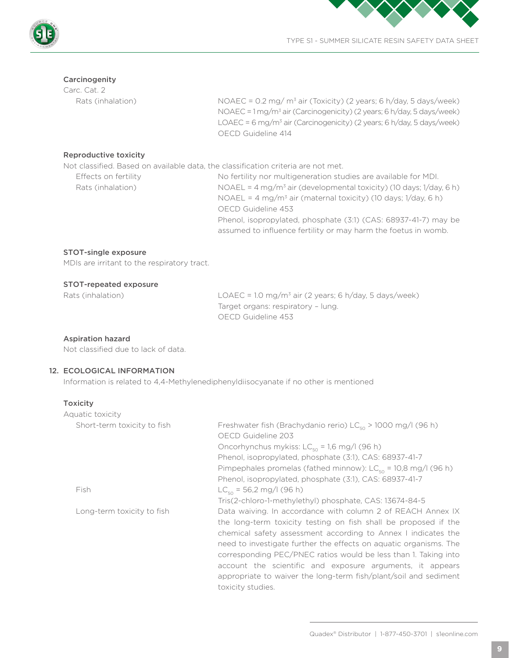



# Carcinogenity

Carc. Cat. 2

Rats (inhalation)  $NOAEC = 0.2$  mg/  $m<sup>3</sup>$  air (Toxicity) (2 years; 6 h/day, 5 days/week) NOAEC = 1 mg/m3 air (Carcinogenicity) (2 years; 6 h/day, 5 days/week) LOAEC = 6 mg/m3 air (Carcinogenicity) (2 years; 6 h/day, 5 days/week) OECD Guideline 414

# Reproductive toxicity

Not classified. Based on available data, the classification criteria are not met.

| Effects on fertility | No fertility nor multigeneration studies are available for MDI.                         |
|----------------------|-----------------------------------------------------------------------------------------|
| Rats (inhalation)    | NOAEL = $4 \text{ mg/m}^3$ air (developmental toxicity) (10 days; $1/\text{day}$ , 6 h) |
|                      | NOAEL = $4 \text{ mg/m}^3$ air (maternal toxicity) (10 days; 1/day, 6 h)                |
|                      | OECD Guideline 453                                                                      |
|                      | Phenol, isopropylated, phosphate (3:1) (CAS: 68937-41-7) may be                         |
|                      | assumed to influence fertility or may harm the foetus in womb.                          |
|                      |                                                                                         |

#### STOT-single exposure

MDIs are irritant to the respiratory tract.

#### STOT-repeated exposure

| Rats (inhalatic |  |
|-----------------|--|
|                 |  |

Rats (inhalation) LOAEC = 1.0 mg/m<sup>3</sup> air (2 years; 6 h/day, 5 days/week) Target organs: respiratory – lung. OECD Guideline 453

#### Aspiration hazard

Not classified due to lack of data.

# 12. ECOLOGICAL INFORMATION

Information is related to 4,4-Methylenediphenyldiisocyanate if no other is mentioned

# Toxicity

| Aquatic toxicity            |                                                                                        |
|-----------------------------|----------------------------------------------------------------------------------------|
| Short-term toxicity to fish | Freshwater fish (Brachydanio rerio) $LC_{50}$ > 1000 mg/l (96 h)<br>OECD Guideline 203 |
|                             | Oncorhynchus mykiss: $LC_{50} = 1.6$ mg/l (96 h)                                       |
|                             | Phenol, isopropylated, phosphate (3:1), CAS: 68937-41-7                                |
|                             | Pimpephales promelas (fathed minnow): $LC_{50} = 10,8$ mg/l (96 h)                     |
|                             | Phenol, isopropylated, phosphate (3:1), CAS: 68937-41-7                                |
| Fish                        | $LC_{50}$ = 56,2 mg/l (96 h)                                                           |
|                             | Tris(2-chloro-1-methylethyl) phosphate, CAS: 13674-84-5                                |
| Long-term toxicity to fish  | Data waiving. In accordance with column 2 of REACH Annex IX                            |
|                             | the long-term toxicity testing on fish shall be proposed if the                        |
|                             | chemical safety assessment according to Annex I indicates the                          |
|                             | need to investigate further the effects on aquatic organisms. The                      |
|                             | corresponding PEC/PNEC ratios would be less than 1. Taking into                        |
|                             | account the scientific and exposure arguments, it appears                              |
|                             | appropriate to waiver the long-term fish/plant/soil and sediment                       |
|                             | toxicity studies.                                                                      |
|                             |                                                                                        |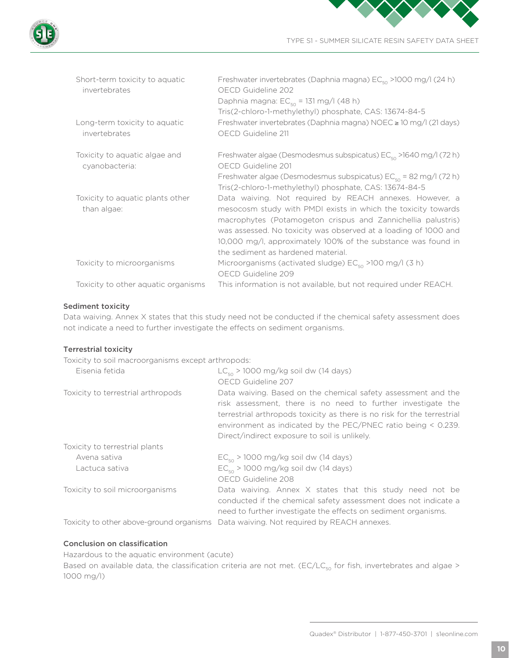

| Short-term toxicity to aquatic<br>invertebrates | Freshwater invertebrates (Daphnia magna) EC <sub>50</sub> >1000 mg/l (24 h)<br>OECD Guideline 202<br>Daphnia magna: $EC_{50} = 131$ mg/l (48 h)<br>Tris(2-chloro-1-methylethyl) phosphate, CAS: 13674-84-5                                                                                                                                                         |
|-------------------------------------------------|--------------------------------------------------------------------------------------------------------------------------------------------------------------------------------------------------------------------------------------------------------------------------------------------------------------------------------------------------------------------|
| Long-term toxicity to aquatic<br>invertebrates  | Freshwater invertebrates (Daphnia magna) NOEC ≥ 10 mg/l (21 days)<br>OECD Guideline 211                                                                                                                                                                                                                                                                            |
| Toxicity to aquatic algae and<br>cyanobacteria: | Freshwater algae (Desmodesmus subspicatus) $EC_{50}$ >1640 mg/l (72 h)<br>OECD Guideline 201<br>Freshwater algae (Desmodesmus subspicatus) $EC_{50} = 82$ mg/l (72 h)<br>Tris(2-chloro-1-methylethyl) phosphate, CAS: 13674-84-5                                                                                                                                   |
| Toxicity to aquatic plants other<br>than algae: | Data waiving. Not required by REACH annexes. However, a<br>mesocosm study with PMDI exists in which the toxicity towards<br>macrophytes (Potamogeton crispus and Zannichellia palustris)<br>was assessed. No toxicity was observed at a loading of 1000 and<br>10,000 mg/l, approximately 100% of the substance was found in<br>the sediment as hardened material. |
| Toxicity to microorganisms                      | Microorganisms (activated sludge) $EC_{50}$ >100 mg/l (3 h)<br>OECD Guideline 209                                                                                                                                                                                                                                                                                  |
| Toxicity to other aquatic organisms             | This information is not available, but not required under REACH.                                                                                                                                                                                                                                                                                                   |

# Sediment toxicity

Data waiving. Annex X states that this study need not be conducted if the chemical safety assessment does not indicate a need to further investigate the effects on sediment organisms.

# Terrestrial toxicity

Toxicity to soil macroorganisms except arthropods:

| Eisenia fetida                     | $LC_{50}$ > 1000 mg/kg soil dw (14 days)                                                                                                                                                                                                                                                                                        |
|------------------------------------|---------------------------------------------------------------------------------------------------------------------------------------------------------------------------------------------------------------------------------------------------------------------------------------------------------------------------------|
|                                    | OECD Guideline 207                                                                                                                                                                                                                                                                                                              |
| Toxicity to terrestrial arthropods | Data waiving. Based on the chemical safety assessment and the<br>risk assessment, there is no need to further investigate the<br>terrestrial arthropods toxicity as there is no risk for the terrestrial<br>environment as indicated by the PEC/PNEC ratio being $\leq$ 0.239.<br>Direct/indirect exposure to soil is unlikely. |
| Toxicity to terrestrial plants     |                                                                                                                                                                                                                                                                                                                                 |
| Avena sativa                       | $EC_{50}$ > 1000 mg/kg soil dw (14 days)                                                                                                                                                                                                                                                                                        |
| Lactuca sativa                     | $EC_{50}$ > 1000 mg/kg soil dw (14 days)                                                                                                                                                                                                                                                                                        |
|                                    | OECD Guideline 208                                                                                                                                                                                                                                                                                                              |
| Toxicity to soil microorganisms    | Data waiving. Annex X states that this study need not be<br>conducted if the chemical safety assessment does not indicate a<br>need to further investigate the effects on sediment organisms.                                                                                                                                   |
|                                    |                                                                                                                                                                                                                                                                                                                                 |

Toxicity to other above-ground organisms Data waiving. Not required by REACH annexes.

# Conclusion on classification

Hazardous to the aquatic environment (acute)

Based on available data, the classification criteria are not met. (EC/LC<sub>50</sub> for fish, invertebrates and algae > 1000 mg/l)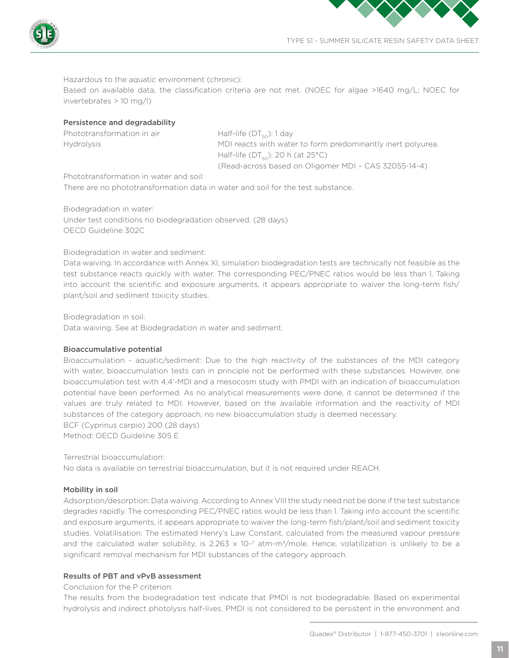



Hazardous to the aquatic environment (chronic):

Based on available data, the classification criteria are not met. (NOEC for algae >1640 mg/L; NOEC for invertebrates > 10 mg/l)

## Persistence and degradability

| Phototransformation in air | Half-life $(DTso)$ : 1 day                                  |
|----------------------------|-------------------------------------------------------------|
| <b>Hvdrolvsis</b>          | MDI reacts with water to form predominantly inert polyurea. |
|                            | Half-life (DT $_{50}$ ): 20 h (at 25°C)                     |
|                            | (Read-across based on Oligomer MDI - CAS 32055-14-4)        |

Phototransformation in water and soil:

There are no phototransformation data in water and soil for the test substance.

Biodegradation in water: Under test conditions no biodegradation observed. (28 days) OECD Guideline 302C

Biodegradation in water and sediment:

Data waiving. In accordance with Annex XI, simulation biodegradation tests are technically not feasible as the test substance reacts quickly with water. The corresponding PEC/PNEC ratios would be less than 1. Taking into account the scientific and exposure arguments, it appears appropriate to waiver the long-term fish/ plant/soil and sediment toxicity studies.

Biodegradation in soil:

Data waiving. See at Biodegradation in water and sediment.

# Bioaccumulative potential

Bioaccumulation - aquatic/sediment: Due to the high reactivity of the substances of the MDI category with water, bioaccumulation tests can in principle not be performed with these substances. However, one bioaccumulation test with 4,4'-MDI and a mesocosm study with PMDI with an indication of bioaccumulation potential have been performed. As no analytical measurements were done, it cannot be determined if the values are truly related to MDI. However, based on the available information and the reactivity of MDI substances of the category approach, no new bioaccumulation study is deemed necessary. BCF (Cyprinus carpio) 200 (28 days)

Method: OECD Guideline 305 E

Terrestrial bioaccumulation:

No data is available on terrestrial bioaccumulation, but it is not required under REACH.

# Mobility in soil

Adsorption/desorption: Data waiving. According to Annex VIII the study need not be done if the test substance degrades rapidly. The corresponding PEC/PNEC ratios would be less than 1. Taking into account the scientific and exposure arguments, it appears appropriate to waiver the long-term fish/plant/soil and sediment toxicity studies. Volatilisation: The estimated Henry's Law Constant, calculated from the measured vapour pressure and the calculated water solubility, is 2.263 x 10-7 atm-m<sup>3</sup>/mole. Hence, volatilization is unlikely to be a significant removal mechanism for MDI substances of the category approach.

#### Results of PBT and vPvB assessment

Conclusion for the P criterion:

The results from the biodegradation test indicate that PMDI is not biodegradable. Based on experimental hydrolysis and indirect photolysis half-lives, PMDI is not considered to be persistent in the environment and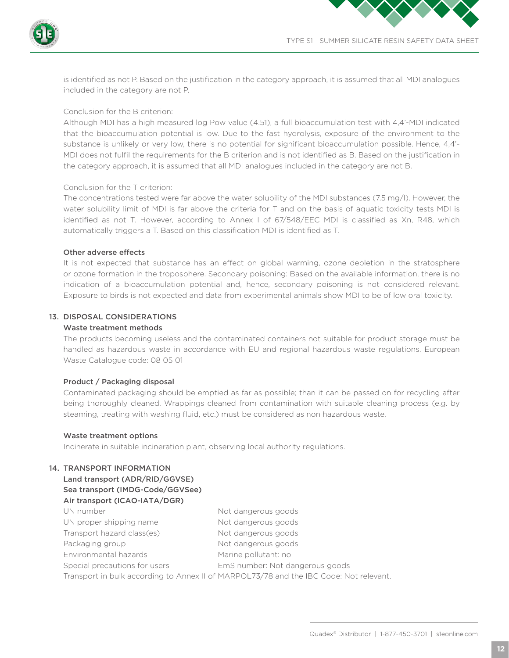



is identified as not P. Based on the justification in the category approach, it is assumed that all MDI analogues included in the category are not P.

# Conclusion for the B criterion:

Although MDI has a high measured log Pow value (4.51), a full bioaccumulation test with 4,4'-MDI indicated that the bioaccumulation potential is low. Due to the fast hydrolysis, exposure of the environment to the substance is unlikely or very low, there is no potential for significant bioaccumulation possible. Hence, 4,4'- MDI does not fulfil the requirements for the B criterion and is not identified as B. Based on the justification in the category approach, it is assumed that all MDI analogues included in the category are not B.

#### Conclusion for the T criterion:

The concentrations tested were far above the water solubility of the MDI substances (7.5 mg/l). However, the water solubility limit of MDI is far above the criteria for T and on the basis of aquatic toxicity tests MDI is identified as not T. However, according to Annex I of 67/548/EEC MDI is classified as Xn, R48, which automatically triggers a T. Based on this classification MDI is identified as T.

#### Other adverse effects

It is not expected that substance has an effect on global warming, ozone depletion in the stratosphere or ozone formation in the troposphere. Secondary poisoning: Based on the available information, there is no indication of a bioaccumulation potential and, hence, secondary poisoning is not considered relevant. Exposure to birds is not expected and data from experimental animals show MDI to be of low oral toxicity.

# 13. DISPOSAL CONSIDERATIONS

### Waste treatment methods

The products becoming useless and the contaminated containers not suitable for product storage must be handled as hazardous waste in accordance with EU and regional hazardous waste regulations. European Waste Catalogue code: 08 05 01

#### Product / Packaging disposal

Contaminated packaging should be emptied as far as possible; than it can be passed on for recycling after being thoroughly cleaned. Wrappings cleaned from contamination with suitable cleaning process (e.g. by steaming, treating with washing fluid, etc.) must be considered as non hazardous waste.

#### Waste treatment options

Incinerate in suitable incineration plant, observing local authority regulations.

# 14. TRANSPORT INFORMATION

# Land transport (ADR/RID/GGVSE)

# Sea transport (IMDG-Code/GGVSee)

#### Air transport (ICAO-IATA/DGR)

| UN number                     | Not dangerous goods                                                                    |
|-------------------------------|----------------------------------------------------------------------------------------|
| UN proper shipping name       | Not dangerous goods                                                                    |
| Transport hazard class(es)    | Not dangerous goods                                                                    |
| Packaging group               | Not dangerous goods                                                                    |
| Environmental hazards         | Marine pollutant: no                                                                   |
| Special precautions for users | EmS number: Not dangerous goods                                                        |
|                               | Transport in bulk according to Annex II of MARPOL73/78 and the IBC Code: Not relevant. |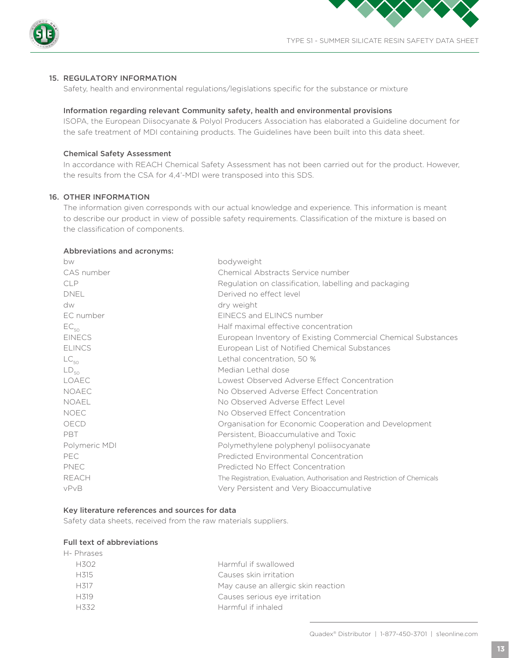



# 15. REGULATORY INFORMATION

Safety, health and environmental regulations/legislations specific for the substance or mixture

#### Information regarding relevant Community safety, health and environmental provisions

ISOPA, the European Diisocyanate & Polyol Producers Association has elaborated a Guideline document for the safe treatment of MDI containing products. The Guidelines have been built into this data sheet.

## Chemical Safety Assessment

In accordance with REACH Chemical Safety Assessment has not been carried out for the product. However, the results from the CSA for 4,4'-MDI were transposed into this SDS.

# 16. OTHER INFORMATION

The information given corresponds with our actual knowledge and experience. This information is meant to describe our product in view of possible safety requirements. Classification of the mixture is based on the classification of components.

# Abbreviations and acronyms:

| bodyweight                                                               |
|--------------------------------------------------------------------------|
| Chemical Abstracts Service number                                        |
| Regulation on classification, labelling and packaging                    |
| Derived no effect level                                                  |
| dry weight                                                               |
| EINECS and ELINCS number                                                 |
| Half maximal effective concentration                                     |
| European Inventory of Existing Commercial Chemical Substances            |
| European List of Notified Chemical Substances                            |
| Lethal concentration, 50 %                                               |
| Median Lethal dose                                                       |
| Lowest Observed Adverse Effect Concentration                             |
| No Observed Adverse Effect Concentration                                 |
| No Observed Adverse Effect Level                                         |
| No Observed Effect Concentration                                         |
| Organisation for Economic Cooperation and Development                    |
| Persistent, Bioaccumulative and Toxic                                    |
| Polymethylene polyphenyl poliisocyanate                                  |
| Predicted Environmental Concentration                                    |
| Predicted No Effect Concentration                                        |
| The Registration, Evaluation, Authorisation and Restriction of Chemicals |
| Very Persistent and Very Bioaccumulative                                 |
|                                                                          |

#### Key literature references and sources for data

Safety data sheets, received from the raw materials suppliers.

#### Full text of abbreviations

| H- Phrases        |                                     |
|-------------------|-------------------------------------|
| H302              | Harmful if swallowed                |
| H <sub>315</sub>  | Causes skin irritation              |
| H317              | May cause an allergic skin reaction |
| H <sub>3</sub> 19 | Causes serious eye irritation       |
| 日くくつ              | Harmful if inhaled                  |